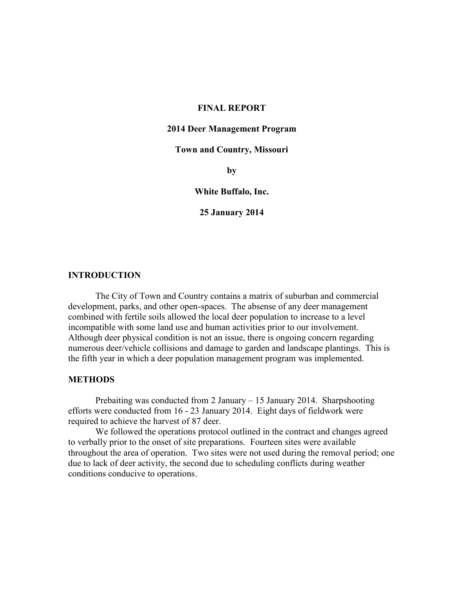#### **FINAL REPORT**

#### **2014 Deer Management Program**

# **Town and Country, Missouri**

**by**

#### **White Buffalo, Inc.**

#### **25 January 2014**

# **INTRODUCTION**

The City of Town and Country contains a matrix of suburban and commercial development, parks, and other open-spaces. The absense of any deer management combined with fertile soils allowed the local deer population to increase to a level incompatible with some land use and human activities prior to our involvement. Although deer physical condition is not an issue, there is ongoing concern regarding numerous deer/vehicle collisions and damage to garden and landscape plantings. This is the fifth year in which a deer population management program was implemented.

### **METHODS**

Prebaiting was conducted from 2 January – 15 January 2014. Sharpshooting efforts were conducted from 16 - 23 January 2014. Eight days of fieldwork were required to achieve the harvest of 87 deer.

We followed the operations protocol outlined in the contract and changes agreed to verbally prior to the onset of site preparations. Fourteen sites were available throughout the area of operation. Two sites were not used during the removal period; one due to lack of deer activity, the second due to scheduling conflicts during weather conditions conducive to operations.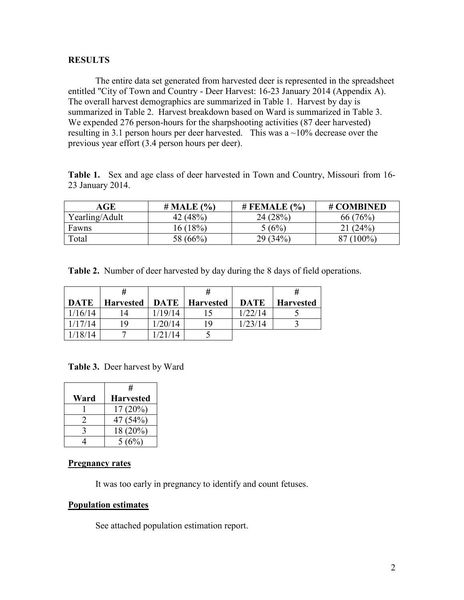## **RESULTS**

The entire data set generated from harvested deer is represented in the spreadsheet entitled "City of Town and Country - Deer Harvest: 16-23 January 2014 (Appendix A). The overall harvest demographics are summarized in Table 1. Harvest by day is summarized in Table 2. Harvest breakdown based on Ward is summarized in Table 3. We expended 276 person-hours for the sharpshooting activities (87 deer harvested) resulting in 3.1 person hours per deer harvested. This was a  $\sim$ 10% decrease over the previous year effort (3.4 person hours per deer).

**Table 1.** Sex and age class of deer harvested in Town and Country, Missouri from 16- 23 January 2014.

| AGE            | $# \text{ MALE } (\% )$ | # FEMALE<br>(% | # COMBINED |
|----------------|-------------------------|----------------|------------|
| Yearling/Adult | 42 $(48%)$              | 24(28%)        | 66(76%)    |
| Fawns          | 16 (18%)                | 5(6%)          | 21(24%)    |
| Total          | 58 (66%)                | $34\%$<br>29 ( | $(00\%)$   |

**Table 2.** Number of deer harvested by day during the 8 days of field operations.

|             | Ħ                |             | #                |             | Ħ                |
|-------------|------------------|-------------|------------------|-------------|------------------|
| <b>DATE</b> | <b>Harvested</b> | <b>DATE</b> | <b>Harvested</b> | <b>DATE</b> | <b>Harvested</b> |
| 1/16/14     | . 4              | 1/19/14     |                  | 1/22/14     |                  |
| 1/17/14     | 19               | 1/20/14     | 19               | 1/23/14     |                  |
| 18/14       |                  | /21/14      |                  |             |                  |

**Table 3.** Deer harvest by Ward

|      | #                |  |  |
|------|------------------|--|--|
| Ward | <b>Harvested</b> |  |  |
|      | $17(20\%)$       |  |  |
|      | 47 (54%)         |  |  |
|      | 18 (20%)         |  |  |
|      | 5(6%)            |  |  |

#### **Pregnancy rates**

It was too early in pregnancy to identify and count fetuses.

## **Population estimates**

See attached population estimation report.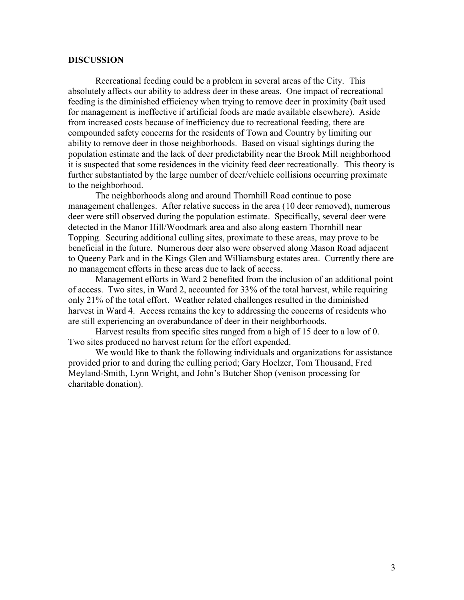#### **DISCUSSION**

Recreational feeding could be a problem in several areas of the City. This absolutely affects our ability to address deer in these areas. One impact of recreational feeding is the diminished efficiency when trying to remove deer in proximity (bait used for management is ineffective if artificial foods are made available elsewhere). Aside from increased costs because of inefficiency due to recreational feeding, there are compounded safety concerns for the residents of Town and Country by limiting our ability to remove deer in those neighborhoods. Based on visual sightings during the population estimate and the lack of deer predictability near the Brook Mill neighborhood it is suspected that some residences in the vicinity feed deer recreationally. This theory is further substantiated by the large number of deer/vehicle collisions occurring proximate to the neighborhood.

The neighborhoods along and around Thornhill Road continue to pose management challenges. After relative success in the area (10 deer removed), numerous deer were still observed during the population estimate. Specifically, several deer were detected in the Manor Hill/Woodmark area and also along eastern Thornhill near Topping. Securing additional culling sites, proximate to these areas, may prove to be beneficial in the future. Numerous deer also were observed along Mason Road adjacent to Queeny Park and in the Kings Glen and Williamsburg estates area. Currently there are no management efforts in these areas due to lack of access.

Management efforts in Ward 2 benefited from the inclusion of an additional point of access. Two sites, in Ward 2, accounted for 33% of the total harvest, while requiring only 21% of the total effort. Weather related challenges resulted in the diminished harvest in Ward 4. Access remains the key to addressing the concerns of residents who are still experiencing an overabundance of deer in their neighborhoods.

Harvest results from specific sites ranged from a high of 15 deer to a low of 0. Two sites produced no harvest return for the effort expended.

We would like to thank the following individuals and organizations for assistance provided prior to and during the culling period; Gary Hoelzer, Tom Thousand, Fred Meyland-Smith, Lynn Wright, and John's Butcher Shop (venison processing for charitable donation).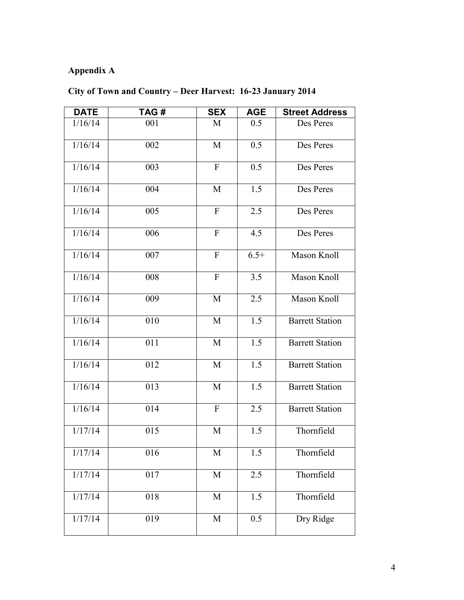# **Appendix A**

# **City of Town and Country – Deer Harvest: 16-23 January 2014**

| <b>DATE</b>          | TAG# | <b>SEX</b>              | <b>AGE</b>       | <b>Street Address</b>  |
|----------------------|------|-------------------------|------------------|------------------------|
| 1/16/14              | 001  | M                       | 0.5              | Des Peres              |
| 1/16/14              | 002  | M                       | 0.5              | Des Peres              |
| 1/16/14              | 003  | $\mathbf{F}$            | 0.5              | Des Peres              |
| 1/16/14              | 004  | M                       | 1.5              | Des Peres              |
| 1/16/14              | 005  | $\mathbf{F}$            | 2.5              | Des Peres              |
| 1/16/14              | 006  | $\overline{F}$          | 4.5              | Des Peres              |
| 1/16/14              | 007  | $\mathbf{F}$            | $6.5+$           | Mason Knoll            |
| 1/16/14              | 008  | $\mathbf{F}$            | 3.5              | Mason Knoll            |
| 1/16/14              | 009  | $\mathbf M$             | 2.5              | Mason Knoll            |
| 1/16/14              | 010  | M                       | 1.5              | <b>Barrett Station</b> |
| 1/16/14              | 011  | M                       | 1.5              | <b>Barrett Station</b> |
| 1/16/14              | 012  | M                       | $\overline{1.5}$ | <b>Barrett Station</b> |
| 1/16/14              | 013  | M                       | 1.5              | <b>Barrett Station</b> |
| 1/16/14              | 014  | $\mathbf{F}$            | 2.5              | <b>Barrett Station</b> |
| $\overline{1/17/14}$ | 015  | M                       | 1.5              | Thornfield             |
| $\frac{1}{17}/14$    | 016  | M                       | 1.5              | Thornfield             |
| 1/17/14              | 017  | $\mathbf M$             | 2.5              | Thornfield             |
| 1/17/14              | 018  | $\overline{\mathbf{M}}$ | $\overline{1.5}$ | Thornfield             |
| 1/17/14              | 019  | $\mathbf M$             | 0.5              | Dry Ridge              |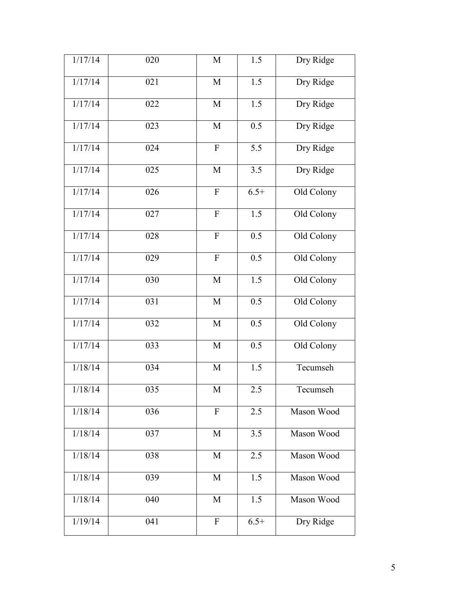| 1/17/14 | 020              | M                         | 1.5              | Dry Ridge  |
|---------|------------------|---------------------------|------------------|------------|
| 1/17/14 | 021              | M                         | $\overline{1.5}$ | Dry Ridge  |
| 1/17/14 | 022              | M                         | 1.5              | Dry Ridge  |
| 1/17/14 | 023              | M                         | 0.5              | Dry Ridge  |
| 1/17/14 | 024              | $\mathbf F$               | 5.5              | Dry Ridge  |
| 1/17/14 | 025              | M                         | 3.5              | Dry Ridge  |
| 1/17/14 | 026              | $\boldsymbol{\mathrm{F}}$ | $6.5+$           | Old Colony |
| 1/17/14 | 027              | ${\bf F}$                 | 1.5              | Old Colony |
| 1/17/14 | 028              | ${\bf F}$                 | 0.5              | Old Colony |
| 1/17/14 | 029              | ${\bf F}$                 | 0.5              | Old Colony |
| 1/17/14 | 030              | M                         | 1.5              | Old Colony |
| 1/17/14 | 031              | M                         | 0.5              | Old Colony |
| 1/17/14 | 032              | M                         | 0.5              | Old Colony |
| 1/17/14 | 033              | M                         | 0.5              | Old Colony |
| 1/18/14 | 034              | M                         | 1.5              | Tecumseh   |
| 1/18/14 | $\overline{035}$ | M                         | 2.5              | Tecumseh   |
| 1/18/14 | 036              | $\mathbf{F}$              | 2.5              | Mason Wood |
| 1/18/14 | 037              | M                         | 3.5              | Mason Wood |
| 1/18/14 | 038              | M                         | 2.5              | Mason Wood |
| 1/18/14 | 039              | M                         | 1.5              | Mason Wood |
| 1/18/14 | 040              | M                         | 1.5              | Mason Wood |
| 1/19/14 | 041              | $\mathbf{F}$              | $6.5+$           | Dry Ridge  |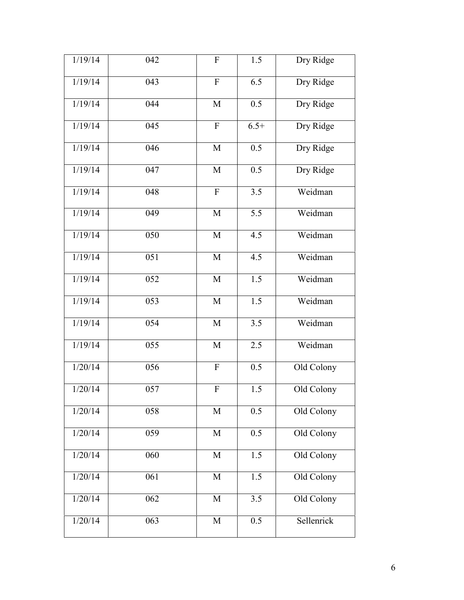| 1/19/14 | 042 | ${\bf F}$                 | 1.5              | Dry Ridge  |
|---------|-----|---------------------------|------------------|------------|
| 1/19/14 | 043 | $\boldsymbol{\mathrm{F}}$ | 6.5              | Dry Ridge  |
| 1/19/14 | 044 | M                         | 0.5              | Dry Ridge  |
| 1/19/14 | 045 | $\overline{F}$            | $6.5+$           | Dry Ridge  |
| 1/19/14 | 046 | M                         | 0.5              | Dry Ridge  |
| 1/19/14 | 047 | $\mathbf M$               | 0.5              | Dry Ridge  |
| 1/19/14 | 048 | ${\bf F}$                 | 3.5              | Weidman    |
| 1/19/14 | 049 | $\mathbf M$               | 5.5              | Weidman    |
| 1/19/14 | 050 | M                         | 4.5              | Weidman    |
| 1/19/14 | 051 | M                         | 4.5              | Weidman    |
| 1/19/14 | 052 | $\mathbf M$               | 1.5              | Weidman    |
| 1/19/14 | 053 | M                         | 1.5              | Weidman    |
| 1/19/14 | 054 | $\mathbf M$               | 3.5              | Weidman    |
| 1/19/14 | 055 | M                         | 2.5              | Weidman    |
| 1/20/14 | 056 | ${\bf F}$                 | 0.5              | Old Colony |
| 1/20/14 | 057 | ${\bf F}$                 | $\overline{1.5}$ | Old Colony |
| 1/20/14 | 058 | $\mathbf M$               | 0.5              | Old Colony |
| 1/20/14 | 059 | M                         | 0.5              | Old Colony |
| 1/20/14 | 060 | $\mathbf M$               | 1.5              | Old Colony |
| 1/20/14 | 061 | $\mathbf M$               | 1.5              | Old Colony |
| 1/20/14 | 062 | M                         | 3.5              | Old Colony |
| 1/20/14 | 063 | M                         | 0.5              | Sellenrick |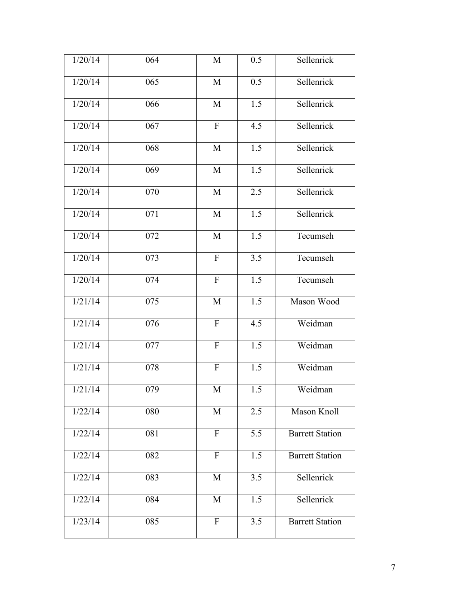| 1/20/14 | 064 | M              | 0.5              | Sellenrick             |
|---------|-----|----------------|------------------|------------------------|
| 1/20/14 | 065 | M              | 0.5              | Sellenrick             |
| 1/20/14 | 066 | M              | 1.5              | Sellenrick             |
| 1/20/14 | 067 | $\mathbf{F}$   | 4.5              | Sellenrick             |
| 1/20/14 | 068 | $\mathbf M$    | 1.5              | Sellenrick             |
| 1/20/14 | 069 | M              | 1.5              | Sellenrick             |
| 1/20/14 | 070 | M              | 2.5              | Sellenrick             |
| 1/20/14 | 071 | $\mathbf M$    | 1.5              | Sellenrick             |
| 1/20/14 | 072 | M              | 1.5              | Tecumseh               |
| 1/20/14 | 073 | $\overline{F}$ | $\overline{3.5}$ | Tecumseh               |
| 1/20/14 | 074 | ${\bf F}$      | 1.5              | Tecumseh               |
| 1/21/14 | 075 | M              | 1.5              | Mason Wood             |
| 1/21/14 | 076 | ${\bf F}$      | 4.5              | Weidman                |
| 1/21/14 | 077 | ${\bf F}$      | 1.5              | Weidman                |
| 1/21/14 | 078 | $\rm F$        | 1.5              | Weidman                |
| 1/21/14 | 079 | M              | $\overline{1.5}$ | Weidman                |
| 1/22/14 | 080 | M              | 2.5              | Mason Knoll            |
| 1/22/14 | 081 | ${\bf F}$      | 5.5              | <b>Barrett Station</b> |
| 1/22/14 | 082 | $\mathbf{F}$   | 1.5              | <b>Barrett Station</b> |
| 1/22/14 | 083 | M              | 3.5              | Sellenrick             |
| 1/22/14 | 084 | M              | 1.5              | Sellenrick             |
| 1/23/14 | 085 | $\overline{F}$ | 3.5              | <b>Barrett Station</b> |